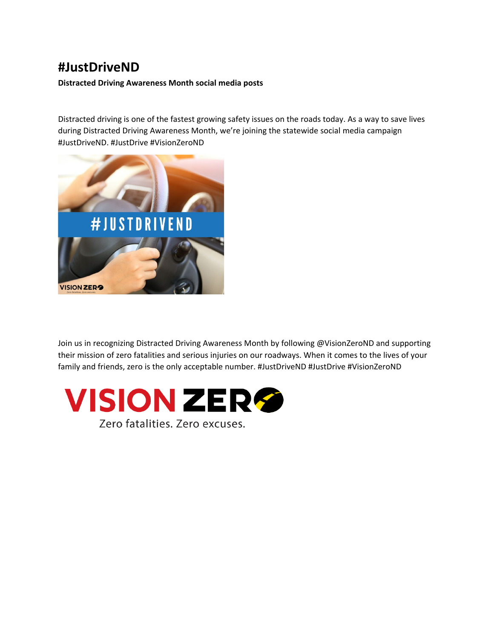## **#JustDriveND**

**Distracted Driving Awareness Month social media posts**

Distracted driving is one of the fastest growing safety issues on the roads today. As a way to save lives during Distracted Driving Awareness Month, we're joining the statewide social media campaign #JustDriveND. #JustDrive #VisionZeroND



Join us in recognizing Distracted Driving Awareness Month by following @VisionZeroND and supporting their mission of zero fatalities and serious injuries on our roadways. When it comes to the lives of your family and friends, zero is the only acceptable number. #JustDriveND #JustDrive #VisionZeroND

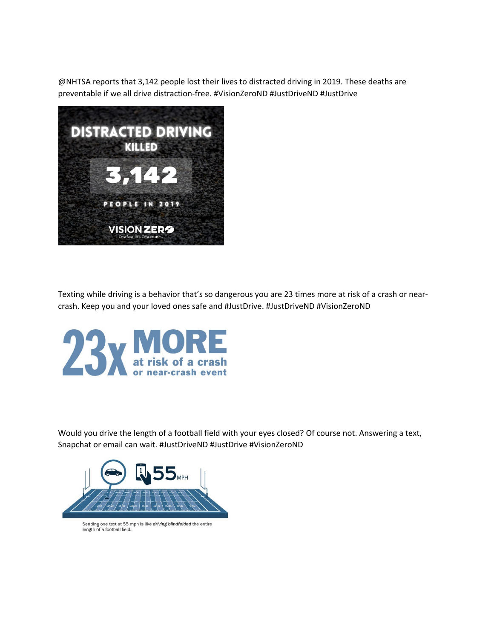@NHTSA reports that 3,142 people lost their lives to distracted driving in 2019. These deaths are preventable if we all drive distraction-free. #VisionZeroND #JustDriveND #JustDrive



Texting while driving is a behavior that's so dangerous you are 23 times more at risk of a crash or nearcrash. Keep you and your loved ones safe and #JustDrive. #JustDriveND #VisionZeroND



Would you drive the length of a football field with your eyes closed? Of course not. Answering a text, Snapchat or email can wait. #JustDriveND #JustDrive #VisionZeroND



Sending one text at 55 mph is like driving blindfolded the entire length of a football field.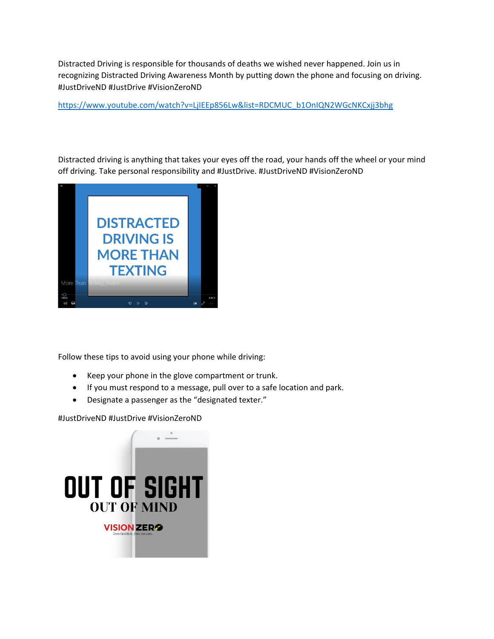Distracted Driving is responsible for thousands of deaths we wished never happened. Join us in recognizing Distracted Driving Awareness Month by putting down the phone and focusing on driving. #JustDriveND #JustDrive #VisionZeroND

[https://www.youtube.com/watch?v=LjIEEp856Lw&list=RDCMUC\\_b1OnIQN2WGcNKCxjj3bhg](https://www.youtube.com/watch?v=LjIEEp856Lw&list=RDCMUC_b1OnIQN2WGcNKCxjj3bhg)

Distracted driving is anything that takes your eyes off the road, your hands off the wheel or your mind off driving. Take personal responsibility and #JustDrive. #JustDriveND #VisionZeroND



Follow these tips to avoid using your phone while driving:

- Keep your phone in the glove compartment or trunk.
- If you must respond to a message, pull over to a safe location and park.
- Designate a passenger as the "designated texter."

#JustDriveND #JustDrive #VisionZeroND

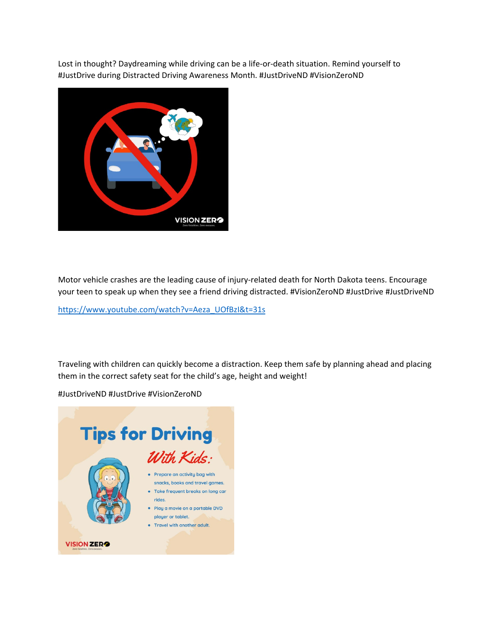Lost in thought? Daydreaming while driving can be a life-or-death situation. Remind yourself to #JustDrive during Distracted Driving Awareness Month. #JustDriveND #VisionZeroND



Motor vehicle crashes are the leading cause of injury-related death for North Dakota teens. Encourage your teen to speak up when they see a friend driving distracted. #VisionZeroND #JustDrive #JustDriveND

[https://www.youtube.com/watch?v=Aeza\\_UOfBzI&t=31s](https://www.youtube.com/watch?v=Aeza_UOfBzI&t=31s)

Traveling with children can quickly become a distraction. Keep them safe by planning ahead and placing them in the correct safety seat for the child's age, height and weight!

#JustDriveND #JustDrive #VisionZeroND